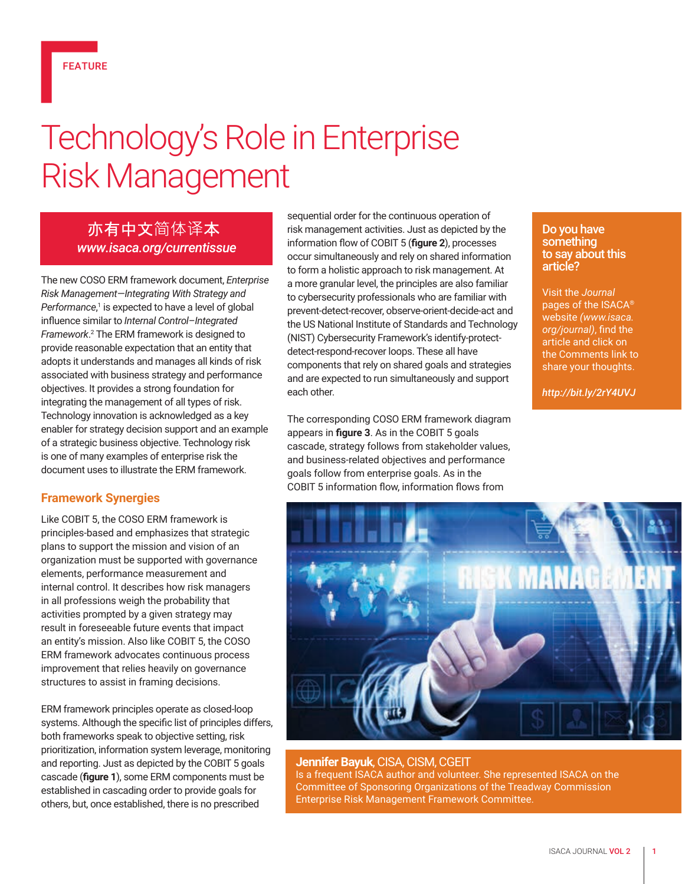# Technology's Role in Enterprise Risk Management

# 亦有中文简体译本 *www.isaca.org/currentissue*

The new COSO ERM framework document, *Enterprise Risk Management—Integrating With Strategy and*  Performance,<sup>1</sup> is expected to have a level of global influence similar to *Internal Control–Integrated Framework*. 2 The ERM framework is designed to provide reasonable expectation that an entity that adopts it understands and manages all kinds of risk associated with business strategy and performance objectives. It provides a strong foundation for integrating the management of all types of risk. Technology innovation is acknowledged as a key enabler for strategy decision support and an example of a strategic business objective. Technology risk is one of many examples of enterprise risk the document uses to illustrate the ERM framework.

# **Framework Synergies**

Like COBIT 5, the COSO ERM framework is principles-based and emphasizes that strategic plans to support the mission and vision of an organization must be supported with governance elements, performance measurement and internal control. It describes how risk managers in all professions weigh the probability that activities prompted by a given strategy may result in foreseeable future events that impact an entity's mission. Also like COBIT 5, the COSO ERM framework advocates continuous process improvement that relies heavily on governance structures to assist in framing decisions.

ERM framework principles operate as closed-loop systems. Although the specific list of principles differs, both frameworks speak to objective setting, risk prioritization, information system leverage, monitoring and reporting. Just as depicted by the COBIT 5 goals cascade (**figure 1**), some ERM components must be established in cascading order to provide goals for others, but, once established, there is no prescribed

sequential order for the continuous operation of risk management activities. Just as depicted by the information flow of COBIT 5 (**figure 2**), processes occur simultaneously and rely on shared information to form a holistic approach to risk management. At a more granular level, the principles are also familiar to cybersecurity professionals who are familiar with prevent-detect-recover, observe-orient-decide-act and the US National Institute of Standards and Technology (NIST) Cybersecurity Framework's identify-protectdetect-respond-recover loops. These all have components that rely on shared goals and strategies and are expected to run simultaneously and support each other.

The corresponding COSO ERM framework diagram appears in **figure 3**. As in the COBIT 5 goals cascade, strategy follows from stakeholder values, and business-related objectives and performance goals follow from enterprise goals. As in the COBIT 5 information flow, information flows from

#### Do you have something to say about this article?

Visit the *Journal* pages of the ISACA® website *(www.isaca. org/journal)*, find the article and click on the Comments link to share your thoughts.

*http://bit.ly/2rY4UVJ*



#### **Jennifer Bayuk**, CISA, CISM, CGEIT Is a frequent ISACA author and volunteer. She represented ISACA on the Committee of Sponsoring Organizations of the Treadway Commission Enterprise Risk Management Framework Committee.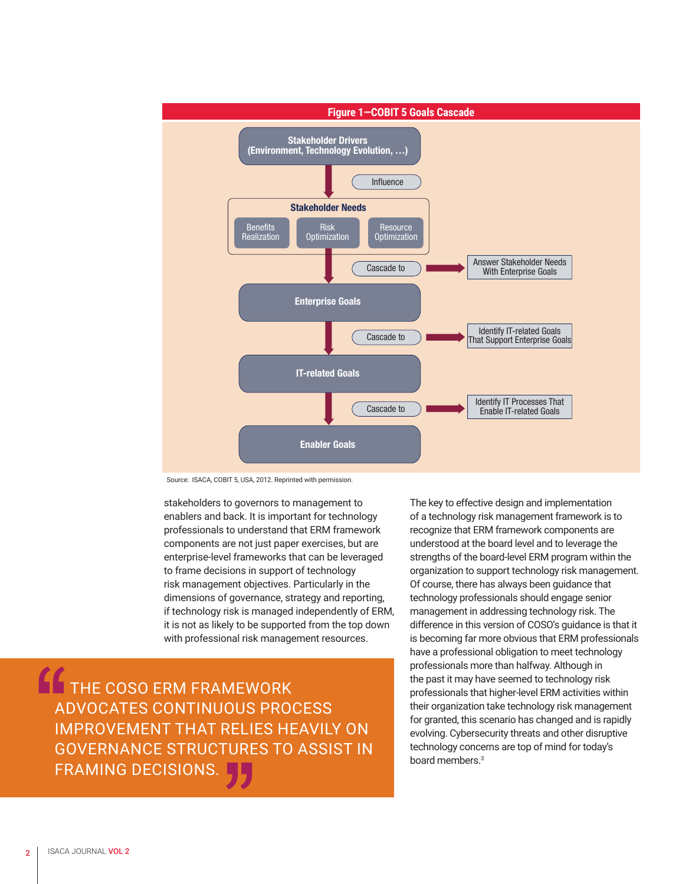

Source: ISACA, COBIT 5, USA, 2012. Reprinted with permission.

stakeholders to governors to management to enablers and back. It is important for technology professionals to understand that ERM framework components are not just paper exercises, but are enterprise-level frameworks that can be leveraged to frame decisions in support of technology risk management objectives. Particularly in the dimensions of governance, strategy and reporting, if technology risk is managed independently of ERM, it is not as likely to be supported from the top down with professional risk management resources.

THE COSO ERM FRAMEWORK ADVOCATES CONTINUOUS PROCESS IMPROVEMENT THAT RELIES HEAVILY ON GOVERNANCE STRUCTURES TO ASSIST IN FRAMING DECISIONS.

The key to effective design and implementation of a technology risk management framework is to recognize that ERM framework components are understood at the board level and to leverage the strengths of the board-level ERM program within the organization to support technology risk management. Of course, there has always been guidance that technology professionals should engage senior management in addressing technology risk. The difference in this version of COSO's guidance is that it is becoming far more obvious that ERM professionals have a professional obligation to meet technology professionals more than halfway. Although in the past it may have seemed to technology risk professionals that higher-level ERM activities within their organization take technology risk management for granted, this scenario has changed and is rapidly evolving. Cybersecurity threats and other disruptive technology concerns are top of mind for today's board members.<sup>3</sup>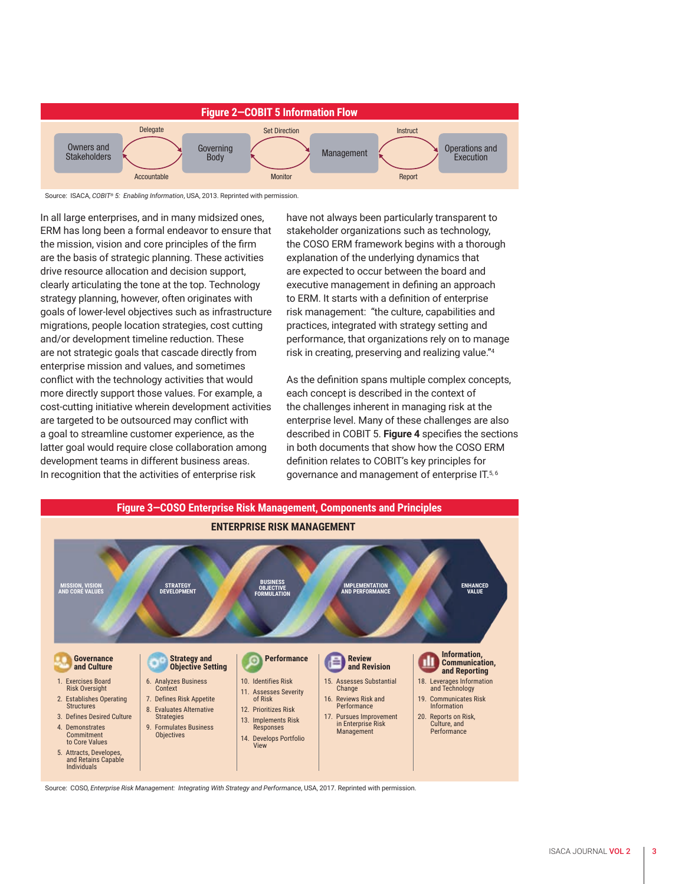

Source: ISACA, *COBIT® 5: Enabling Information*, USA, 2013. Reprinted with permission.

In all large enterprises, and in many midsized ones, ERM has long been a formal endeavor to ensure that the mission, vision and core principles of the firm are the basis of strategic planning. These activities drive resource allocation and decision support, clearly articulating the tone at the top. Technology strategy planning, however, often originates with goals of lower-level objectives such as infrastructure migrations, people location strategies, cost cutting and/or development timeline reduction. These are not strategic goals that cascade directly from enterprise mission and values, and sometimes conflict with the technology activities that would more directly support those values. For example, a cost-cutting initiative wherein development activities are targeted to be outsourced may conflict with a goal to streamline customer experience, as the latter goal would require close collaboration among development teams in different business areas. In recognition that the activities of enterprise risk

have not always been particularly transparent to stakeholder organizations such as technology, the COSO ERM framework begins with a thorough explanation of the underlying dynamics that are expected to occur between the board and executive management in defining an approach to ERM. It starts with a definition of enterprise risk management: "the culture, capabilities and practices, integrated with strategy setting and performance, that organizations rely on to manage risk in creating, preserving and realizing value."4

As the definition spans multiple complex concepts, each concept is described in the context of the challenges inherent in managing risk at the enterprise level. Many of these challenges are also described in COBIT 5. **Figure 4** specifies the sections in both documents that show how the COSO ERM definition relates to COBIT's key principles for governance and management of enterprise IT.5, 6



Source: COSO, *Enterprise Risk Management: Integrating With Strategy and Performance*, USA, 2017. Reprinted with permission.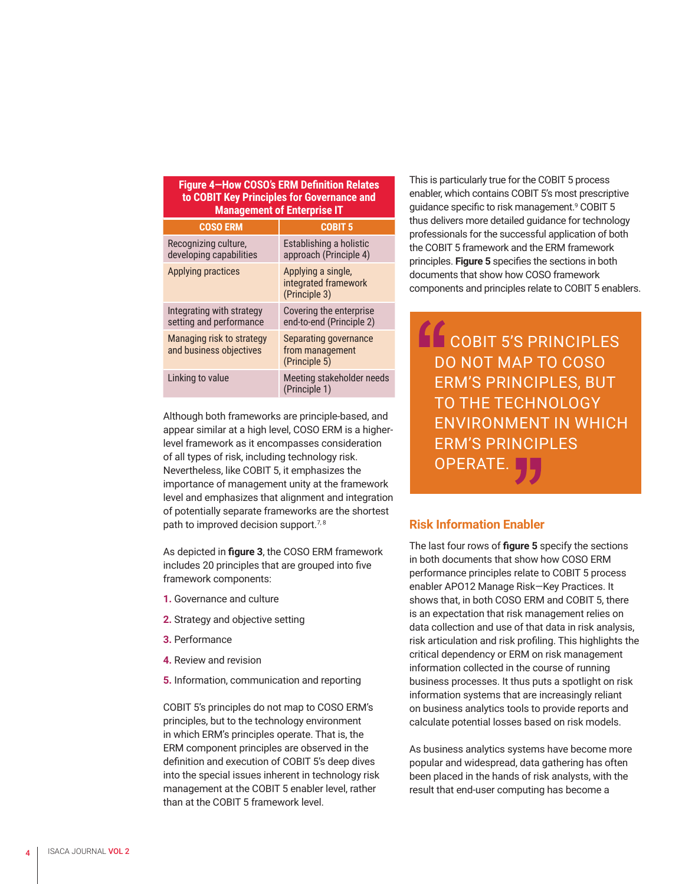| Figure 4-How COSO's ERM Definition Relates<br>to COBIT Key Principles for Governance and<br><b>Management of Enterprise IT</b> |                                                             |
|--------------------------------------------------------------------------------------------------------------------------------|-------------------------------------------------------------|
| <b>COSO ERM</b>                                                                                                                | <b>COBIT 5</b>                                              |
| Recognizing culture,<br>developing capabilities                                                                                | Establishing a holistic<br>approach (Principle 4)           |
| <b>Applying practices</b>                                                                                                      | Applying a single,<br>integrated framework<br>(Principle 3) |
| Integrating with strategy<br>setting and performance                                                                           | Covering the enterprise<br>end-to-end (Principle 2)         |
| Managing risk to strategy<br>and business objectives                                                                           | Separating governance<br>from management<br>(Principle 5)   |
| Linking to value                                                                                                               | Meeting stakeholder needs<br>(Principle 1)                  |

Although both frameworks are principle-based, and appear similar at a high level, COSO ERM is a higherlevel framework as it encompasses consideration of all types of risk, including technology risk. Nevertheless, like COBIT 5, it emphasizes the importance of management unity at the framework level and emphasizes that alignment and integration of potentially separate frameworks are the shortest path to improved decision support.<sup>7,8</sup>

As depicted in **figure 3**, the COSO ERM framework includes 20 principles that are grouped into five framework components:

- **1.** Governance and culture
- **2.** Strategy and objective setting
- **3.** Performance
- **4.** Review and revision
- **5.** Information, communication and reporting

COBIT 5's principles do not map to COSO ERM's principles, but to the technology environment in which ERM's principles operate. That is, the ERM component principles are observed in the definition and execution of COBIT 5's deep dives into the special issues inherent in technology risk management at the COBIT 5 enabler level, rather than at the COBIT 5 framework level.

This is particularly true for the COBIT 5 process enabler, which contains COBIT 5's most prescriptive guidance specific to risk management.<sup>9</sup> COBIT 5 thus delivers more detailed guidance for technology professionals for the successful application of both the COBIT 5 framework and the ERM framework principles. **Figure 5** specifies the sections in both documents that show how COSO framework components and principles relate to COBIT 5 enablers.

**COBIT 5'S PRINCIPLES** DO NOT MAP TO COSO ERM'S PRINCIPLES, BUT TO THE TECHNOLOGY ENVIRONMENT IN WHICH ERM'S PRINCIPLES OPERATE.

### **Risk Information Enabler**

The last four rows of **figure 5** specify the sections in both documents that show how COSO ERM performance principles relate to COBIT 5 process enabler APO12 Manage Risk—Key Practices. It shows that, in both COSO ERM and COBIT 5, there is an expectation that risk management relies on data collection and use of that data in risk analysis, risk articulation and risk profiling. This highlights the critical dependency or ERM on risk management information collected in the course of running business processes. It thus puts a spotlight on risk information systems that are increasingly reliant on business analytics tools to provide reports and calculate potential losses based on risk models.

As business analytics systems have become more popular and widespread, data gathering has often been placed in the hands of risk analysts, with the result that end-user computing has become a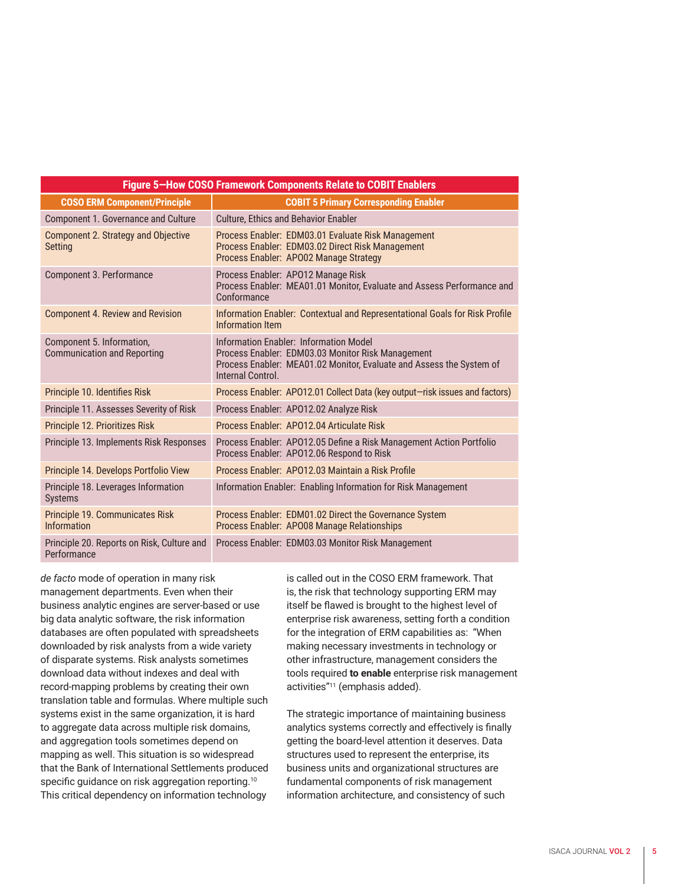| Figure 5-How COSO Framework Components Relate to COBIT Enablers |                                                                                                                                                                                          |
|-----------------------------------------------------------------|------------------------------------------------------------------------------------------------------------------------------------------------------------------------------------------|
| <b>COSO ERM Component/Principle</b>                             | <b>COBIT 5 Primary Corresponding Enabler</b>                                                                                                                                             |
| Component 1. Governance and Culture                             | <b>Culture, Ethics and Behavior Enabler</b>                                                                                                                                              |
| Component 2. Strategy and Objective<br><b>Setting</b>           | Process Enabler: EDM03.01 Evaluate Risk Management<br>Process Enabler: EDM03.02 Direct Risk Management<br>Process Enabler: AP002 Manage Strategy                                         |
| Component 3. Performance                                        | Process Enabler: AP012 Manage Risk<br>Process Enabler: MEA01.01 Monitor, Evaluate and Assess Performance and<br>Conformance                                                              |
| <b>Component 4. Review and Revision</b>                         | Information Enabler: Contextual and Representational Goals for Risk Profile<br><b>Information Item</b>                                                                                   |
| Component 5. Information,<br><b>Communication and Reporting</b> | Information Enabler: Information Model<br>Process Enabler: EDM03.03 Monitor Risk Management<br>Process Enabler: MEA01.02 Monitor, Evaluate and Assess the System of<br>Internal Control. |
| Principle 10. Identifies Risk                                   | Process Enabler: AP012.01 Collect Data (key output-risk issues and factors)                                                                                                              |
| Principle 11. Assesses Severity of Risk                         | Process Enabler: AP012.02 Analyze Risk                                                                                                                                                   |
| Principle 12. Prioritizes Risk                                  | Process Enabler: AP012.04 Articulate Risk                                                                                                                                                |
| Principle 13. Implements Risk Responses                         | Process Enabler: AP012.05 Define a Risk Management Action Portfolio<br>Process Enabler: AP012.06 Respond to Risk                                                                         |
| Principle 14. Develops Portfolio View                           | Process Enabler: AP012.03 Maintain a Risk Profile                                                                                                                                        |
| Principle 18. Leverages Information<br><b>Systems</b>           | Information Enabler: Enabling Information for Risk Management                                                                                                                            |
| Principle 19. Communicates Risk<br><b>Information</b>           | Process Enabler: EDM01.02 Direct the Governance System<br>Process Enabler: AP008 Manage Relationships                                                                                    |
| Principle 20. Reports on Risk, Culture and<br>Performance       | Process Enabler: EDM03.03 Monitor Risk Management                                                                                                                                        |

*de facto* mode of operation in many risk management departments. Even when their business analytic engines are server-based or use big data analytic software, the risk information databases are often populated with spreadsheets downloaded by risk analysts from a wide variety of disparate systems. Risk analysts sometimes download data without indexes and deal with record-mapping problems by creating their own translation table and formulas. Where multiple such systems exist in the same organization, it is hard to aggregate data across multiple risk domains, and aggregation tools sometimes depend on mapping as well. This situation is so widespread that the Bank of International Settlements produced specific guidance on risk aggregation reporting.<sup>10</sup> This critical dependency on information technology

is called out in the COSO ERM framework. That is, the risk that technology supporting ERM may itself be flawed is brought to the highest level of enterprise risk awareness, setting forth a condition for the integration of ERM capabilities as: "When making necessary investments in technology or other infrastructure, management considers the tools required **to enable** enterprise risk management activities"11 (emphasis added).

The strategic importance of maintaining business analytics systems correctly and effectively is finally getting the board-level attention it deserves. Data structures used to represent the enterprise, its business units and organizational structures are fundamental components of risk management information architecture, and consistency of such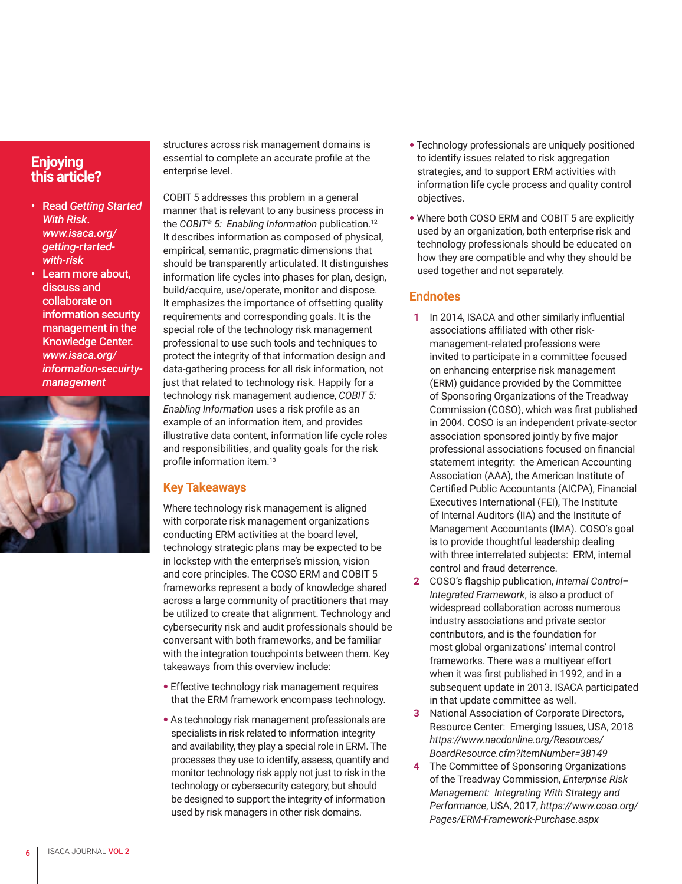## **Enjoying this article?**

- Read *Getting Started With Risk*. *www.isaca.org/ getting-rtartedwith-risk*
- Learn more about, discuss and collaborate on information security management in the Knowledge Center. *www.isaca.org/ information-secuirtymanagement*



structures across risk management domains is essential to complete an accurate profile at the enterprise level.

COBIT 5 addresses this problem in a general manner that is relevant to any business process in the *COBIT® 5: Enabling Information* publication.12 It describes information as composed of physical, empirical, semantic, pragmatic dimensions that should be transparently articulated. It distinguishes information life cycles into phases for plan, design, build/acquire, use/operate, monitor and dispose. It emphasizes the importance of offsetting quality requirements and corresponding goals. It is the special role of the technology risk management professional to use such tools and techniques to protect the integrity of that information design and data-gathering process for all risk information, not just that related to technology risk. Happily for a technology risk management audience, *COBIT 5: Enabling Information* uses a risk profile as an example of an information item, and provides illustrative data content, information life cycle roles and responsibilities, and quality goals for the risk profile information item.<sup>13</sup>

#### **Key Takeaways**

Where technology risk management is aligned with corporate risk management organizations conducting ERM activities at the board level, technology strategic plans may be expected to be in lockstep with the enterprise's mission, vision and core principles. The COSO ERM and COBIT 5 frameworks represent a body of knowledge shared across a large community of practitioners that may be utilized to create that alignment. Technology and cybersecurity risk and audit professionals should be conversant with both frameworks, and be familiar with the integration touchpoints between them. Key takeaways from this overview include:

- **•** Effective technology risk management requires that the ERM framework encompass technology.
- **•** As technology risk management professionals are specialists in risk related to information integrity and availability, they play a special role in ERM. The processes they use to identify, assess, quantify and monitor technology risk apply not just to risk in the technology or cybersecurity category, but should be designed to support the integrity of information used by risk managers in other risk domains.
- **•** Technology professionals are uniquely positioned to identify issues related to risk aggregation strategies, and to support ERM activities with information life cycle process and quality control objectives.
- **•** Where both COSO ERM and COBIT 5 are explicitly used by an organization, both enterprise risk and technology professionals should be educated on how they are compatible and why they should be used together and not separately.

#### **Endnotes**

- **1** In 2014, ISACA and other similarly influential associations affiliated with other riskmanagement-related professions were invited to participate in a committee focused on enhancing enterprise risk management (ERM) guidance provided by the Committee of Sponsoring Organizations of the Treadway Commission (COSO), which was first published in 2004. COSO is an independent private-sector association sponsored jointly by five major professional associations focused on financial statement integrity: the American Accounting Association (AAA), the American Institute of Certified Public Accountants (AICPA), Financial Executives International (FEI), The Institute of Internal Auditors (IIA) and the Institute of Management Accountants (IMA). COSO's goal is to provide thoughtful leadership dealing with three interrelated subjects: ERM, internal control and fraud deterrence.
- **2** COSO's flagship publication, *Internal Control– Integrated Framework*, is also a product of widespread collaboration across numerous industry associations and private sector contributors, and is the foundation for most global organizations' internal control frameworks. There was a multiyear effort when it was first published in 1992, and in a subsequent update in 2013. ISACA participated in that update committee as well.
- **3** National Association of Corporate Directors, Resource Center: Emerging Issues, USA, 2018 *https://www.nacdonline.org/Resources/ BoardResource.cfm?ItemNumber=38149*
- **4** The Committee of Sponsoring Organizations of the Treadway Commission, *Enterprise Risk Management: Integrating With Strategy and Performance*, USA, 2017, *https://www.coso.org/ Pages/ERM-Framework-Purchase.aspx*